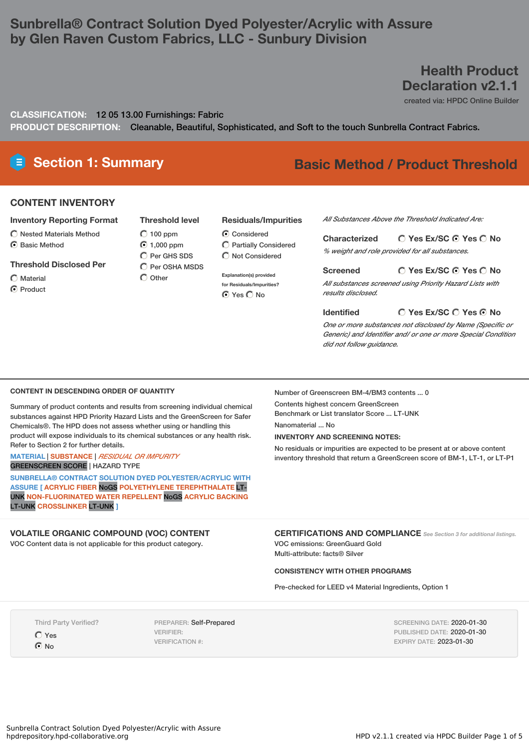# **Sunbrella® Contract Solution Dyed Polyester/Acrylic with Assure by Glen Raven Custom Fabrics, LLC - Sunbury Division**

# **Health Product Declaration v2.1.1**

created via: HPDC Online Builder

**CLASSIFICATION:** 12 05 13.00 Furnishings: Fabric

**PRODUCT DESCRIPTION:** Cleanable, Beautiful, Sophisticated, and Soft to the touch Sunbrella Contract Fabrics.

**Residuals/Impurities**

# **Section 1: Summary Basic Method / Product Threshold**

#### **CONTENT INVENTORY**

#### **Inventory Reporting Format**

- $\bigcirc$  Nested Materials Method
- ◯ Basic Method

# **Threshold Disclosed Per**

- Material
- C Product

#### **Threshold level**

- $O$  100 ppm ◯ 1,000 ppm  $\overline{C}$  Per GHS SDS
- $\bigcirc$  Per OSHA MSDS  $\bigcap$  Other
	- **for Residuals/Impurities?** O Yes O No

C Considered Partially Considered  $\bigcirc$  Not Considered

**Explanation(s) provided**

*All Substances Above the Threshold Indicated Are:*

**Yes Ex/SC Yes No Characterized** *% weight and role provided for all substances.*

#### **Yes Ex/SC Yes No Screened** *All substances screened using Priority Hazard Lists with*

*results disclosed.*

#### **Identified**

**Yes Ex/SC Yes No**

*One or more substances not disclosed by Name (Specific or Generic) and Identifier and/ or one or more Special Condition did not follow guidance.*

#### **CONTENT IN DESCENDING ORDER OF QUANTITY**

Summary of product contents and results from screening individual chemical substances against HPD Priority Hazard Lists and the GreenScreen for Safer Chemicals®. The HPD does not assess whether using or handling this product will expose individuals to its chemical substances or any health risk. Refer to Section 2 for further details.

**MATERIAL** | **SUBSTANCE** | *RESIDUAL OR IMPURITY*

GREENSCREEN SCORE | HAZARD TYPE

**SUNBRELLA® CONTRACT SOLUTION DYED POLYESTER/ACRYLIC WITH ASSURE [ ACRYLIC FIBER** NoGS **POLYETHYLENE TEREPHTHALATE** LT-UNK **NON-FLUORINATED WATER REPELLENT** NoGS **ACRYLIC BACKING** LT-UNK **CROSSLINKER** LT-UNK **]**

#### **VOLATILE ORGANIC COMPOUND (VOC) CONTENT**

VOC Content data is not applicable for this product category.

Number of Greenscreen BM-4/BM3 contents ... 0

Contents highest concern GreenScreen

Benchmark or List translator Score ... LT-UNK

Nanomaterial No

**INVENTORY AND SCREENING NOTES:**

No residuals or impurities are expected to be present at or above content inventory threshold that return a GreenScreen score of BM-1, LT-1, or LT-P1

**CERTIFICATIONS AND COMPLIANCE** *See Section <sup>3</sup> for additional listings.* VOC emissions: GreenGuard Gold

Multi-attribute: facts® Silver

#### **CONSISTENCY WITH OTHER PROGRAMS**

Pre-checked for LEED v4 Material Ingredients, Option 1

Third Party Verified?

Yes **⊙**No

PREPARER: Self-Prepared VERIFIER: VERIFICATION #:

SCREENING DATE: 2020-01-30 PUBLISHED DATE: 2020-01-30 EXPIRY DATE: 2023-01-30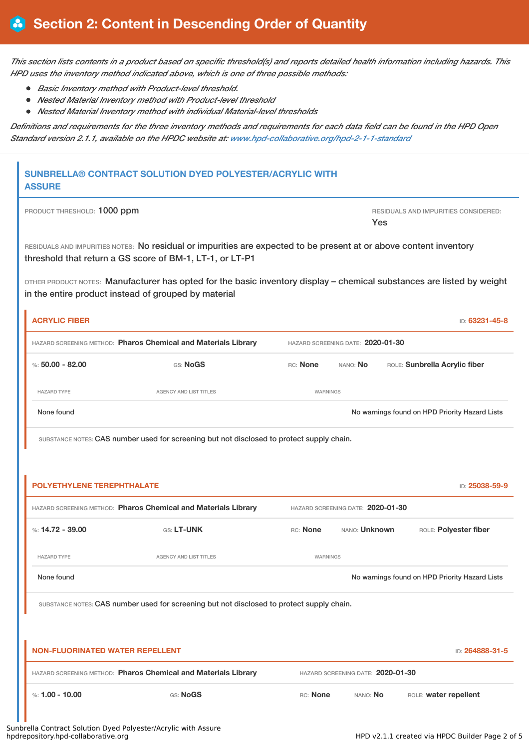This section lists contents in a product based on specific threshold(s) and reports detailed health information including hazards. This *HPD uses the inventory method indicated above, which is one of three possible methods:*

- *Basic Inventory method with Product-level threshold.*
- *Nested Material Inventory method with Product-level threshold*
- *Nested Material Inventory method with individual Material-level thresholds*

Definitions and requirements for the three inventory methods and requirements for each data field can be found in the HPD Open *Standard version 2.1.1, available on the HPDC website at: [www.hpd-collaborative.org/hpd-2-1-1-standard](https://www.hpd-collaborative.org/hpd-2-1-1-standard)*

## **SUNBRELLA® CONTRACT SOLUTION DYED POLYESTER/ACRYLIC WITH ASSURE**

| PRODUCT THRESHOLD: 1000 ppm | RESIDUALS AND IMPURITIES CONSIDERED: |
|-----------------------------|--------------------------------------|
|                             | Yes                                  |

RESIDUALS AND IMPURITIES NOTES: No residual or impurities are expected to be present at or above content inventory threshold that return a GS score of BM-1, LT-1, or LT-P1

OTHER PRODUCT NOTES: Manufacturer has opted for the basic inventory display – chemical substances are listed by weight in the entire product instead of grouped by material

| <b>ACRYLIC FIBER</b>                                                                                |                        |                                   |                      |  | ID: 63231-45-8                                 |
|-----------------------------------------------------------------------------------------------------|------------------------|-----------------------------------|----------------------|--|------------------------------------------------|
| HAZARD SCREENING METHOD: Pharos Chemical and Materials Library                                      |                        | HAZARD SCREENING DATE: 2020-01-30 |                      |  |                                                |
| %: $50.00 - 82.00$                                                                                  | GS: NoGS               | RC: None                          | NANO: No             |  | ROLE: Sunbrella Acrylic fiber                  |
| <b>HAZARD TYPE</b>                                                                                  | AGENCY AND LIST TITLES | WARNINGS                          |                      |  |                                                |
| None found                                                                                          |                        |                                   |                      |  | No warnings found on HPD Priority Hazard Lists |
| SUBSTANCE NOTES: CAS number used for screening but not disclosed to protect supply chain.           |                        |                                   |                      |  |                                                |
|                                                                                                     |                        |                                   |                      |  |                                                |
| <b>POLYETHYLENE TEREPHTHALATE</b>                                                                   |                        |                                   |                      |  | ID: 25038-59-9                                 |
| HAZARD SCREENING METHOD: Pharos Chemical and Materials Library<br>HAZARD SCREENING DATE: 2020-01-30 |                        |                                   |                      |  |                                                |
| %: $14.72 - 39.00$                                                                                  | GS: LT-UNK             | RC: None                          | NANO: <b>Unknown</b> |  | ROLE: Polyester fiber                          |
| <b>HAZARD TYPE</b>                                                                                  | AGENCY AND LIST TITLES | <b>WARNINGS</b>                   |                      |  |                                                |
| None found                                                                                          |                        |                                   |                      |  | No warnings found on HPD Priority Hazard Lists |
| SUBSTANCE NOTES: CAS number used for screening but not disclosed to protect supply chain.           |                        |                                   |                      |  |                                                |
|                                                                                                     |                        |                                   |                      |  |                                                |
| <b>NON-FLUORINATED WATER REPELLENT</b><br>ID: 264888-31-5                                           |                        |                                   |                      |  |                                                |
| HAZARD SCREENING METHOD: Pharos Chemical and Materials Library<br>HAZARD SCREENING DATE: 2020-01-30 |                        |                                   |                      |  |                                                |
| %: $1.00 - 10.00$                                                                                   | GS: NoGS               | RC: None                          | NANO: No             |  | ROLE: water repellent                          |

Sunbrella Contract Solution Dyed Polyester/Acrylic with Assure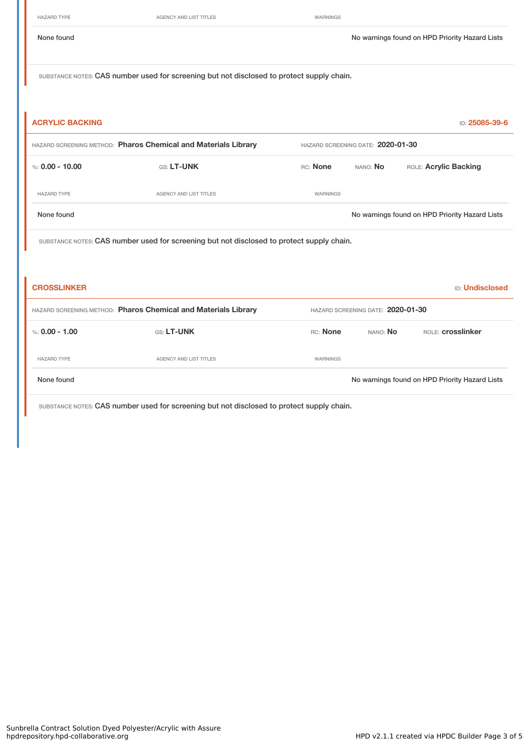HAZARD TYPE **AGENCY AND LIST TITLES AGENCY AND LIST TITLES WARNINGS** 

None found Nowarnings found on HPD Priority Hazard Lists

SUBSTANCE NOTES: CAS number used for screening but not disclosed to protect supply chain.

| <b>ACRYLIC BACKING</b>                                                                    |                                                                |          |                                   | ID: 25085-39-6                                 |  |  |
|-------------------------------------------------------------------------------------------|----------------------------------------------------------------|----------|-----------------------------------|------------------------------------------------|--|--|
|                                                                                           | HAZARD SCREENING METHOD: Pharos Chemical and Materials Library |          | HAZARD SCREENING DATE: 2020-01-30 |                                                |  |  |
| %: $0.00 - 10.00$                                                                         | GS: LT-UNK                                                     | RC: None | NANO: No                          | ROLE: Acrylic Backing                          |  |  |
| <b>HAZARD TYPE</b>                                                                        | <b>AGENCY AND LIST TITLES</b>                                  | WARNINGS |                                   |                                                |  |  |
| None found                                                                                |                                                                |          |                                   | No warnings found on HPD Priority Hazard Lists |  |  |
| SUBSTANCE NOTES: CAS number used for screening but not disclosed to protect supply chain. |                                                                |          |                                   |                                                |  |  |
|                                                                                           |                                                                |          |                                   |                                                |  |  |
| <b>CROSSLINKER</b>                                                                        |                                                                |          |                                   | <b>ID: Undisclosed</b>                         |  |  |
|                                                                                           | HAZARD SCREENING METHOD: Pharos Chemical and Materials Library |          | HAZARD SCREENING DATE: 2020-01-30 |                                                |  |  |
| %: $0.00 - 1.00$                                                                          | GS: LT-UNK                                                     | RC: None | NANO: No                          | ROLE: <b>Crosslinker</b>                       |  |  |
| <b>HAZARD TYPE</b>                                                                        | <b>AGENCY AND LIST TITLES</b>                                  | WARNINGS |                                   |                                                |  |  |
| None found                                                                                |                                                                |          |                                   | No warnings found on HPD Priority Hazard Lists |  |  |
|                                                                                           |                                                                |          |                                   |                                                |  |  |

SUBSTANCE NOTES: CAS number used for screening but not disclosed to protect supply chain.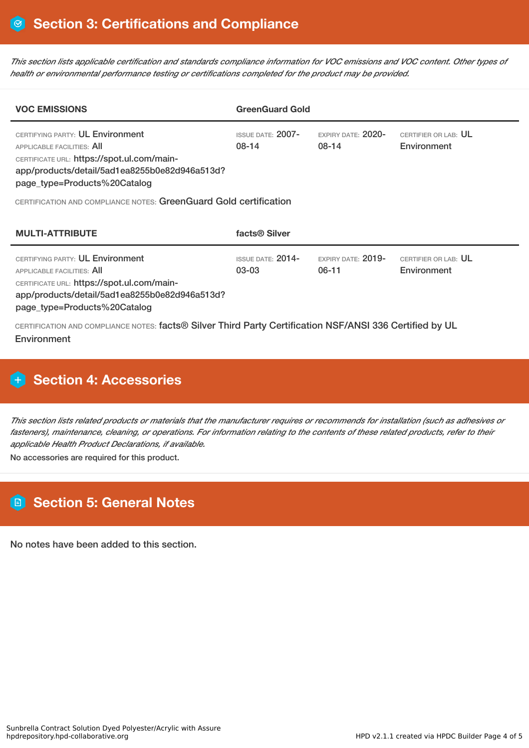This section lists applicable certification and standards compliance information for VOC emissions and VOC content. Other types of *health or environmental performance testing or certifications completed for the product may be provided.*

| <b>VOC EMISSIONS</b>                                                                                                                                                                                 | <b>GreenGuard Gold</b>         |                               |                                     |  |  |  |  |
|------------------------------------------------------------------------------------------------------------------------------------------------------------------------------------------------------|--------------------------------|-------------------------------|-------------------------------------|--|--|--|--|
| CERTIFYING PARTY: UL Environment<br><b>APPLICABLE FACILITIES: AII</b><br>CERTIFICATE URL: https://spot.ul.com/main-<br>app/products/detail/5ad1ea8255b0e82d946a513d?<br>page_type=Products%20Catalog | ISSUE DATE: 2007-<br>$08-14$   | EXPIRY DATE: 2020-<br>08-14   | CERTIFIER OR LAB: UL<br>Environment |  |  |  |  |
| CERTIFICATION AND COMPLIANCE NOTES: GreenGuard Gold certification                                                                                                                                    |                                |                               |                                     |  |  |  |  |
| <b>MULTI-ATTRIBUTE</b>                                                                                                                                                                               | facts <sup>®</sup> Silver      |                               |                                     |  |  |  |  |
| CERTIFYING PARTY: UL Environment<br><b>APPLICABLE FACILITIES: AII</b><br>CERTIFICATE URL: https://spot.ul.com/main-<br>app/products/detail/5ad1ea8255b0e82d946a513d?<br>page_type=Products%20Catalog | $ISSUF$ DATE: $2014-$<br>03-03 | EXPIRY DATE: $2019-$<br>06-11 | CERTIFIER OR LAB: UL<br>Environment |  |  |  |  |

CERTIFICATION AND COMPLIANCE NOTES: facts® Silver Third Party Certification NSF/ANSI 336 Certified by UL **Environment** 

# **H** Section 4: Accessories

This section lists related products or materials that the manufacturer requires or recommends for installation (such as adhesives or fasteners), maintenance, cleaning, or operations. For information relating to the contents of these related products, refer to their *applicable Health Product Declarations, if available.*

No accessories are required for this product.

# **Section 5: General Notes**

No notes have been added to this section.